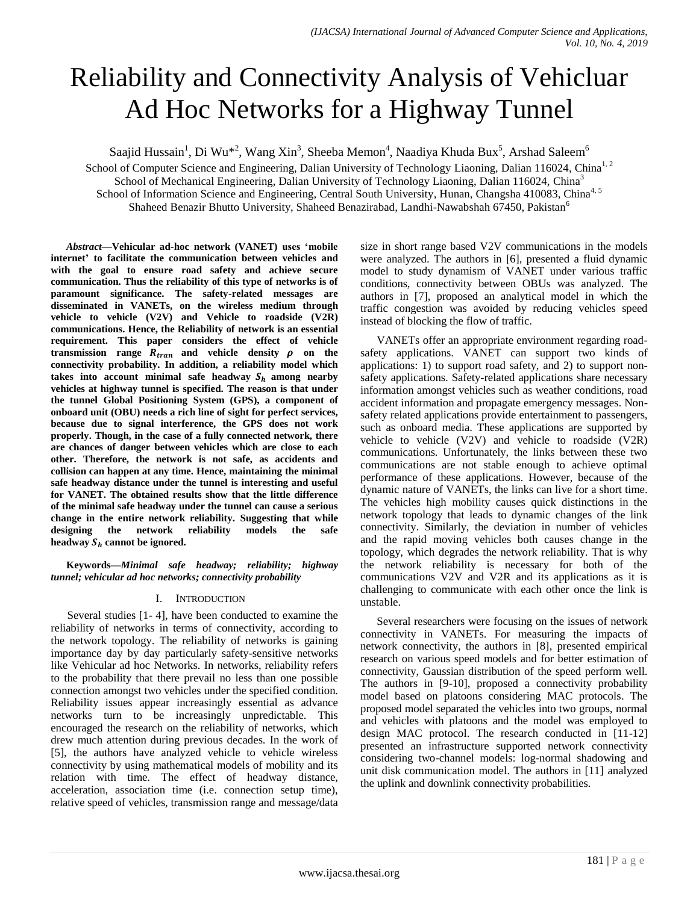# Reliability and Connectivity Analysis of Vehicluar Ad Hoc Networks for a Highway Tunnel

Saajid Hussain<sup>1</sup>, Di Wu<sup>\*2</sup>, Wang Xin<sup>3</sup>, Sheeba Memon<sup>4</sup>, Naadiya Khuda Bux<sup>5</sup>, Arshad Saleem<sup>6</sup>

School of Computer Science and Engineering, Dalian University of Technology Liaoning, Dalian 116024, China<sup>1,2</sup> School of Mechanical Engineering, Dalian University of Technology Liaoning, Dalian 116024, China<sup>3</sup> School of Information Science and Engineering, Central South University, Hunan, Changsha 410083, China<sup>4, 5</sup> Shaheed Benazir Bhutto University, Shaheed Benazirabad, Landhi-Nawabshah 67450, Pakistan<sup>6</sup>

*Abstract***—Vehicular ad-hoc network (VANET) uses 'mobile internet' to facilitate the communication between vehicles and with the goal to ensure road safety and achieve secure communication. Thus the reliability of this type of networks is of paramount significance. The safety-related messages are disseminated in VANETs, on the wireless medium through vehicle to vehicle (V2V) and Vehicle to roadside (V2R) communications. Hence, the Reliability of network is an essential requirement. This paper considers the effect of vehicle transmission** range  $R_{tran}$  and vehicle density  $\rho$  on the **connectivity probability. In addition, a reliability model which**  takes into account minimal safe headway  $S_h$  among nearby **vehicles at highway tunnel is specified. The reason is that under the tunnel Global Positioning System (GPS), a component of onboard unit (OBU) needs a rich line of sight for perfect services, because due to signal interference, the GPS does not work properly. Though, in the case of a fully connected network, there are chances of danger between vehicles which are close to each other. Therefore, the network is not safe, as accidents and collision can happen at any time. Hence, maintaining the minimal safe headway distance under the tunnel is interesting and useful for VANET. The obtained results show that the little difference of the minimal safe headway under the tunnel can cause a serious change in the entire network reliability. Suggesting that while designing the network reliability models the safe**  headway  $S_h$  cannot be ignored.

**Keywords—***Minimal safe headway; reliability; highway tunnel; vehicular ad hoc networks; connectivity probability*

## I. INTRODUCTION

Several studies [1- 4], have been conducted to examine the reliability of networks in terms of connectivity, according to the network topology. The reliability of networks is gaining importance day by day particularly safety-sensitive networks like Vehicular ad hoc Networks. In networks, reliability refers to the probability that there prevail no less than one possible connection amongst two vehicles under the specified condition. Reliability issues appear increasingly essential as advance networks turn to be increasingly unpredictable. This encouraged the research on the reliability of networks, which drew much attention during previous decades. In the work of [5], the authors have analyzed vehicle to vehicle wireless connectivity by using mathematical models of mobility and its relation with time. The effect of headway distance, acceleration, association time (i.e. connection setup time), relative speed of vehicles, transmission range and message/data size in short range based V2V communications in the models were analyzed. The authors in [6], presented a fluid dynamic model to study dynamism of VANET under various traffic conditions, connectivity between OBUs was analyzed. The authors in [7], proposed an analytical model in which the traffic congestion was avoided by reducing vehicles speed instead of blocking the flow of traffic.

VANETs offer an appropriate environment regarding roadsafety applications. VANET can support two kinds of applications: 1) to support road safety, and 2) to support nonsafety applications. Safety-related applications share necessary information amongst vehicles such as weather conditions, road accident information and propagate emergency messages. Nonsafety related applications provide entertainment to passengers, such as onboard media. These applications are supported by vehicle to vehicle (V2V) and vehicle to roadside (V2R) communications. Unfortunately, the links between these two communications are not stable enough to achieve optimal performance of these applications. However, because of the dynamic nature of VANETs, the links can live for a short time. The vehicles high mobility causes quick distinctions in the network topology that leads to dynamic changes of the link connectivity. Similarly, the deviation in number of vehicles and the rapid moving vehicles both causes change in the topology, which degrades the network reliability. That is why the network reliability is necessary for both of the communications V2V and V2R and its applications as it is challenging to communicate with each other once the link is unstable.

Several researchers were focusing on the issues of network connectivity in VANETs. For measuring the impacts of network connectivity, the authors in [8], presented empirical research on various speed models and for better estimation of connectivity, Gaussian distribution of the speed perform well. The authors in [9-10], proposed a connectivity probability model based on platoons considering MAC protocols. The proposed model separated the vehicles into two groups, normal and vehicles with platoons and the model was employed to design MAC protocol. The research conducted in [11-12] presented an infrastructure supported network connectivity considering two-channel models: log-normal shadowing and unit disk communication model. The authors in [11] analyzed the uplink and downlink connectivity probabilities.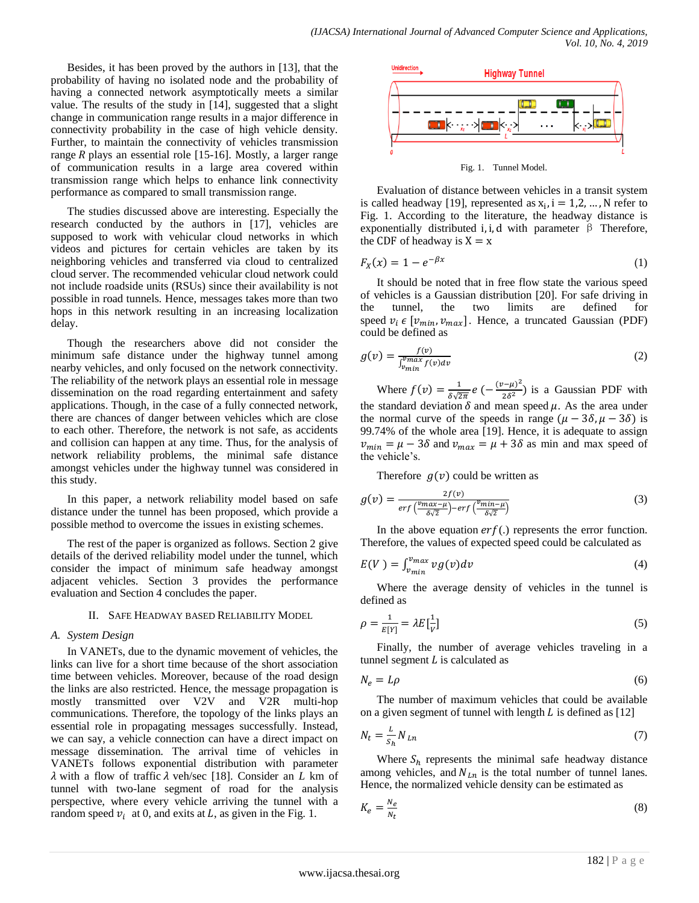Besides, it has been proved by the authors in [13], that the probability of having no isolated node and the probability of having a connected network asymptotically meets a similar value. The results of the study in [14], suggested that a slight change in communication range results in a major difference in connectivity probability in the case of high vehicle density. Further, to maintain the connectivity of vehicles transmission range  $R$  plays an essential role [15-16]. Mostly, a larger range of communication results in a large area covered within transmission range which helps to enhance link connectivity performance as compared to small transmission range.

The studies discussed above are interesting. Especially the research conducted by the authors in [17], vehicles are supposed to work with vehicular cloud networks in which videos and pictures for certain vehicles are taken by its neighboring vehicles and transferred via cloud to centralized cloud server. The recommended vehicular cloud network could not include roadside units (RSUs) since their availability is not possible in road tunnels. Hence, messages takes more than two hops in this network resulting in an increasing localization delay.

Though the researchers above did not consider the minimum safe distance under the highway tunnel among nearby vehicles, and only focused on the network connectivity. The reliability of the network plays an essential role in message dissemination on the road regarding entertainment and safety applications. Though, in the case of a fully connected network, there are chances of danger between vehicles which are close to each other. Therefore, the network is not safe, as accidents and collision can happen at any time. Thus, for the analysis of network reliability problems, the minimal safe distance amongst vehicles under the highway tunnel was considered in this study.

In this paper, a network reliability model based on safe distance under the tunnel has been proposed, which provide a possible method to overcome the issues in existing schemes.

The rest of the paper is organized as follows. Section 2 give details of the derived reliability model under the tunnel, which consider the impact of minimum safe headway amongst adjacent vehicles. Section 3 provides the performance evaluation and Section 4 concludes the paper.

### II. SAFE HEADWAY BASED RELIABILITY MODEL

## *A. System Design*

In VANETs, due to the dynamic movement of vehicles, the links can live for a short time because of the short association time between vehicles. Moreover, because of the road design the links are also restricted. Hence, the message propagation is mostly transmitted over V2V and V2R multi-hop communications. Therefore, the topology of the links plays an essential role in propagating messages successfully. Instead, we can say, a vehicle connection can have a direct impact on message dissemination. The arrival time of vehicles in VANETs follows exponential distribution with parameter  $\lambda$  with a flow of traffic  $\lambda$  veh/sec [18]. Consider an *L* km of tunnel with two-lane segment of road for the analysis perspective, where every vehicle arriving the tunnel with a random speed  $v_i$  at 0, and exits at L, as given in the Fig. 1.



Fig. 1. Tunnel Model.

Evaluation of distance between vehicles in a transit system is called headway [19], represented as  $x_i$ ,  $i = 1, 2, ..., N$  refer to Fig. 1. According to the literature, the headway distance is exponentially distributed i, i, d with parameter  $\beta$  Therefore, the CDF of headway is  $X = x$ 

$$
F_X(x) = 1 - e^{-\beta x} \tag{1}
$$

It should be noted that in free flow state the various speed of vehicles is a Gaussian distribution [20]. For safe driving in the tunnel, the two limits are defined for speed  $v_i \in [v_{min}, v_{max}]$ . Hence, a truncated Gaussian (PDF) could be defined as

$$
g(v) = \frac{f(v)}{\int_{v_{min}}^{v_{max}} f(v) dv}
$$
 (2)

Where  $f(v) = \frac{1}{s}$  $\frac{1}{\delta\sqrt{2\pi}}e^{-\frac{(v-\mu)^2}{2\delta^2}}$  $\frac{(-\mu)}{2\delta^2}$ ) is a Gaussian PDF with the standard deviation  $\delta$  and mean speed  $\mu$ . As the area under the normal curve of the speeds in range  $(\mu - 3\delta, \mu - 3\delta)$  is 99.74% of the whole area [19]. Hence, it is adequate to assign  $v_{min} = \mu - 3\delta$  and  $v_{max} = \mu + 3\delta$  as min and max speed of the vehicle's.

Therefore  $g(v)$  could be written as

$$
g(v) = \frac{2f(v)}{erf\left(\frac{v_{max}-\mu}{\delta\sqrt{2}}\right)-erf\left(\frac{v_{min}-\mu}{\delta\sqrt{2}}\right)}\tag{3}
$$

In the above equation  $erf(.)$  represents the error function. Therefore, the values of expected speed could be calculated as

$$
E(V) = \int_{v_{min}}^{v_{max}} v g(v) dv
$$
 (4)

Where the average density of vehicles in the tunnel is defined as

$$
\rho = \frac{1}{E[Y]} = \lambda E\left[\frac{1}{V}\right] \tag{5}
$$

Finally, the number of average vehicles traveling in a tunnel segment  $L$  is calculated as

$$
N_e = L\rho \tag{6}
$$

The number of maximum vehicles that could be available on a given segment of tunnel with length  $L$  is defined as [12]

$$
N_t = \frac{L}{s_h} N_{Ln} \tag{7}
$$

Where  $S_h$  represents the minimal safe headway distance among vehicles, and  $N_{Ln}$  is the total number of tunnel lanes. Hence, the normalized vehicle density can be estimated as

$$
K_e = \frac{N_e}{N_t} \tag{8}
$$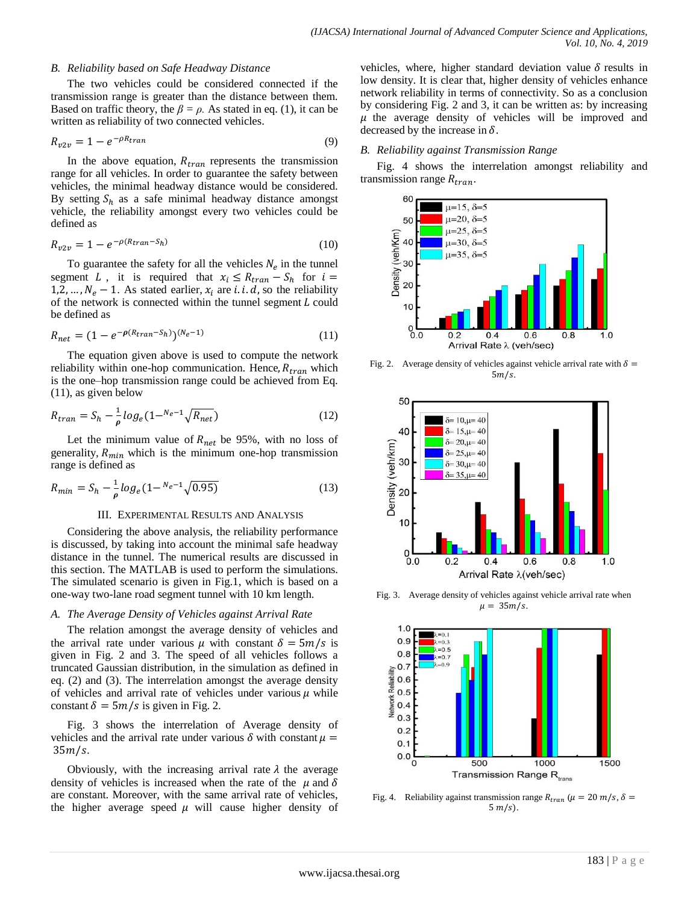## *B. Reliability based on Safe Headway Distance*

The two vehicles could be considered connected if the transmission range is greater than the distance between them. Based on traffic theory, the  $\beta = \rho$ . As stated in eq. (1), it can be written as reliability of two connected vehicles.

$$
R_{v2v} = 1 - e^{-\rho R_{tran}} \tag{9}
$$

In the above equation,  $R_{tran}$  represents the transmission range for all vehicles. In order to guarantee the safety between vehicles, the minimal headway distance would be considered. By setting  $S_h$  as a safe minimal headway distance amongst vehicle, the reliability amongst every two vehicles could be defined as

$$
R_{v2v} = 1 - e^{-\rho(R_{tran} - S_h)}
$$
\n(10)

To guarantee the safety for all the vehicles  $N_e$  in the tunnel segment L, it is required that  $x_i \le R_{tran} - S_h$  for  $i =$ 1,2, ...,  $N_e - 1$ . As stated earlier,  $x_i$  are *i. i. d*, so the reliability of the network is connected within the tunnel segment  $L$  could be defined as

$$
R_{net} = (1 - e^{-\rho (R_{tran} - S_h)})^{(N_e - 1)}
$$
\n(11)

The equation given above is used to compute the network reliability within one-hop communication. Hence,  $R_{tran}$  which is the one–hop transmission range could be achieved from Eq. (11), as given below

$$
R_{tran} = S_h - \frac{1}{\rho} \log_e (1 - N_e - 1) \sqrt{R_{net}} \tag{12}
$$

Let the minimum value of  $R_{net}$  be 95%, with no loss of generality,  $R_{min}$  which is the minimum one-hop transmission range is defined as

$$
R_{min} = S_h - \frac{1}{\rho} \log_e(1 - N_e - 1\sqrt{0.95})
$$
\n(13)

## III. EXPERIMENTAL RESULTS AND ANALYSIS

Considering the above analysis, the reliability performance is discussed, by taking into account the minimal safe headway distance in the tunnel. The numerical results are discussed in this section. The MATLAB is used to perform the simulations. The simulated scenario is given in Fig.1, which is based on a one-way two-lane road segment tunnel with 10 km length.

## *A. The Average Density of Vehicles against Arrival Rate*

The relation amongst the average density of vehicles and the arrival rate under various  $\mu$  with constant  $\delta = \frac{5m}{s}$  is given in Fig. 2 and 3. The speed of all vehicles follows a truncated Gaussian distribution, in the simulation as defined in eq. (2) and (3). The interrelation amongst the average density of vehicles and arrival rate of vehicles under various  $\mu$  while constant  $\delta = \frac{5m}{s}$  is given in Fig. 2.

Fig. 3 shows the interrelation of Average density of vehicles and the arrival rate under various  $\delta$  with constant  $\mu =$  $35m/s$ .

Obviously, with the increasing arrival rate  $\lambda$  the average density of vehicles is increased when the rate of the  $\mu$  and  $\delta$ are constant. Moreover, with the same arrival rate of vehicles, the higher average speed  $\mu$  will cause higher density of vehicles, where, higher standard deviation value  $\delta$  results in low density. It is clear that, higher density of vehicles enhance network reliability in terms of connectivity. So as a conclusion by considering Fig. 2 and 3, it can be written as: by increasing  $\mu$  the average density of vehicles will be improved and decreased by the increase in  $\delta$ .

#### *B. Reliability against Transmission Range*

Fig. 4 shows the interrelation amongst reliability and transmission range  $R_{tran}$ .



Fig. 2. Average density of vehicles against vehicle arrival rate with  $\delta$  =  $5m/s$ .



Fig. 3. Average density of vehicles against vehicle arrival rate when  $\mu = 35m/s.$ 



Fig. 4. Reliability against transmission range  $R_{tran}$  ( $\mu = 20$  m/s,  $\delta =$  $5 m/s$ ).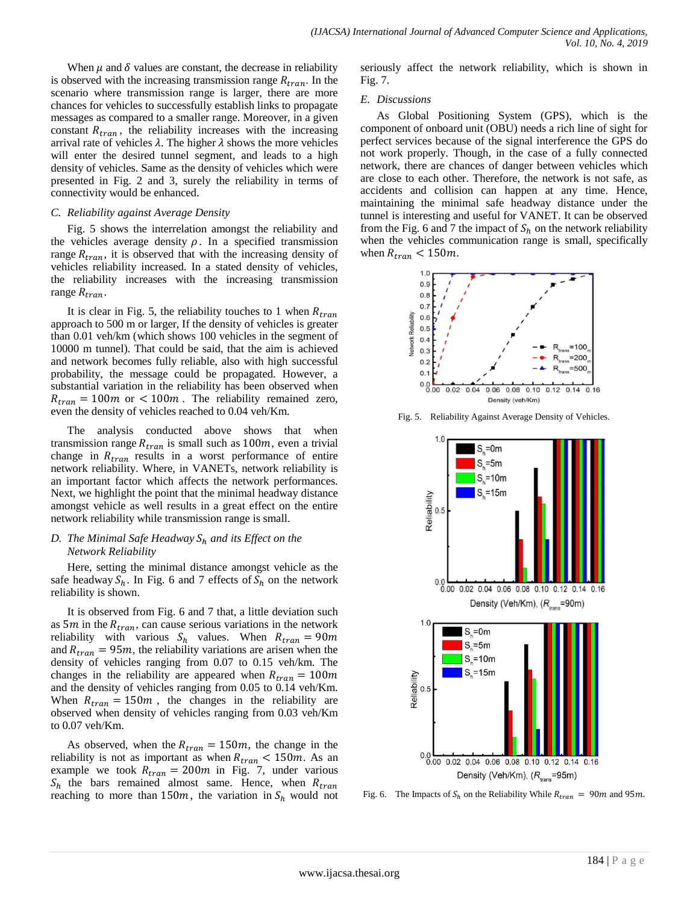When  $\mu$  and  $\delta$  values are constant, the decrease in reliability is observed with the increasing transmission range  $R_{tran}$ . In the scenario where transmission range is larger, there are more chances for vehicles to successfully establish links to propagate messages as compared to a smaller range. Moreover, in a given constant  $R_{tran}$ , the reliability increases with the increasing arrival rate of vehicles  $\lambda$ . The higher  $\lambda$  shows the more vehicles will enter the desired tunnel segment, and leads to a high density of vehicles. Same as the density of vehicles which were presented in Fig. 2 and 3, surely the reliability in terms of connectivity would be enhanced.

## *C. Reliability against Average Density*

Fig. 5 shows the interrelation amongst the reliability and the vehicles average density  $\rho$ . In a specified transmission range  $R_{tran}$ , it is observed that with the increasing density of vehicles reliability increased. In a stated density of vehicles, the reliability increases with the increasing transmission range  $R_{tran}$ .

It is clear in Fig. 5, the reliability touches to 1 when  $R_{tran}$ approach to 500 m or larger, If the density of vehicles is greater than 0.01 veh/km (which shows 100 vehicles in the segment of 10000 m tunnel). That could be said, that the aim is achieved and network becomes fully reliable, also with high successful probability, the message could be propagated. However, a substantial variation in the reliability has been observed when  $R_{tran} = 100m$  or  $\lt 100m$ . The reliability remained zero, even the density of vehicles reached to 0.04 veh/Km.

The analysis conducted above shows that when transmission range  $R_{tran}$  is small such as  $100m$ , even a trivial change in  $R_{tran}$  results in a worst performance of entire network reliability. Where, in VANETs, network reliability is an important factor which affects the network performances. Next, we highlight the point that the minimal headway distance amongst vehicle as well results in a great effect on the entire network reliability while transmission range is small.

## *D. The Minimal Safe Headway*  $S_h$  *and its Effect on the Network Reliability*

Here, setting the minimal distance amongst vehicle as the safe headway  $S_h$ . In Fig. 6 and 7 effects of  $S_h$  on the network reliability is shown.

It is observed from Fig. 6 and 7 that, a little deviation such as 5*m* in the  $R_{tran}$ , can cause serious variations in the network reliability with various  $S_h$  values. When  $R_{tran} = 90m$ and  $R_{tran} = 95m$ , the reliability variations are arisen when the density of vehicles ranging from 0.07 to 0.15 veh/km. The changes in the reliability are appeared when  $R_{tran} = 100m$ and the density of vehicles ranging from 0.05 to 0.14 veh/Km. When  $R_{tran} = 150m$ , the changes in the reliability are observed when density of vehicles ranging from 0.03 veh/Km to 0.07 veh/Km.

As observed, when the  $R_{tran} = 150m$ , the change in the reliability is not as important as when  $R_{tran} < 150m$ . As an example we took  $R_{tran} = 200m$  in Fig. 7, under various  $S_h$  the bars remained almost same. Hence, when  $R_{tran}$ reaching to more than 150m, the variation in  $S_h$  would not seriously affect the network reliability, which is shown in Fig. 7.

## *E. Discussions*

As Global Positioning System (GPS), which is the component of onboard unit (OBU) needs a rich line of sight for perfect services because of the signal interference the GPS do not work properly. Though, in the case of a fully connected network, there are chances of danger between vehicles which are close to each other. Therefore, the network is not safe, as accidents and collision can happen at any time. Hence, maintaining the minimal safe headway distance under the tunnel is interesting and useful for VANET. It can be observed from the Fig. 6 and 7 the impact of  $S_h$  on the network reliability when the vehicles communication range is small, specifically when  $R_{tran} < 150m$ .



Fig. 5. Reliability Against Average Density of Vehicles.



Fig. 6. The Impacts of  $S_h$  on the Reliability While  $R_{tran} = 90m$  and 95m.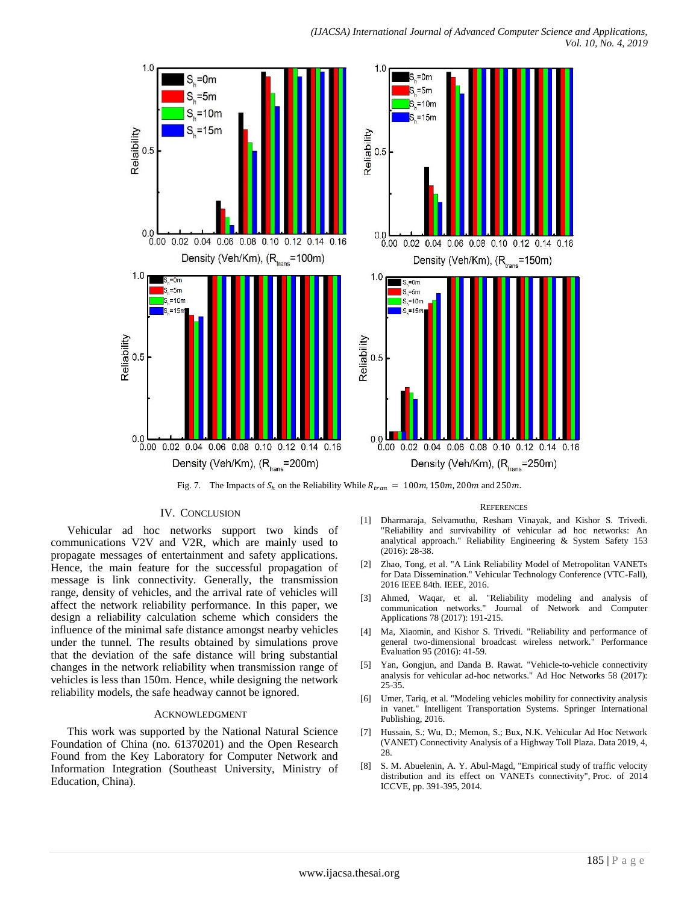



Fig. 7. The Impacts of  $S_h$  on the Reliability While  $R_{tran} = 100m$ , 150m, 200m and 250m.

### IV. CONCLUSION

Vehicular ad hoc networks support two kinds of communications V2V and V2R, which are mainly used to propagate messages of entertainment and safety applications. Hence, the main feature for the successful propagation of message is link connectivity. Generally, the transmission range, density of vehicles, and the arrival rate of vehicles will affect the network reliability performance. In this paper, we design a reliability calculation scheme which considers the influence of the minimal safe distance amongst nearby vehicles under the tunnel. The results obtained by simulations prove that the deviation of the safe distance will bring substantial changes in the network reliability when transmission range of vehicles is less than 150m. Hence, while designing the network reliability models, the safe headway cannot be ignored.

#### ACKNOWLEDGMENT

This work was supported by the National Natural Science Foundation of China (no. 61370201) and the Open Research Found from the Key Laboratory for Computer Network and Information Integration (Southeast University, Ministry of Education, China).

#### **REFERENCES**

- [1] Dharmaraja, Selvamuthu, Resham Vinayak, and Kishor S. Trivedi. "Reliability and survivability of vehicular ad hoc networks: An analytical approach." Reliability Engineering & System Safety 153 (2016): 28-38.
- [2] Zhao, Tong, et al. "A Link Reliability Model of Metropolitan VANETs for Data Dissemination." Vehicular Technology Conference (VTC-Fall), 2016 IEEE 84th. IEEE, 2016.
- [3] Ahmed, Waqar, et al. "Reliability modeling and analysis of communication networks." Journal of Network and Computer Applications 78 (2017): 191-215.
- [4] Ma, Xiaomin, and Kishor S. Trivedi. "Reliability and performance of general two-dimensional broadcast wireless network." Performance Evaluation 95 (2016): 41-59.
- [5] Yan, Gongjun, and Danda B. Rawat. "Vehicle-to-vehicle connectivity analysis for vehicular ad-hoc networks." Ad Hoc Networks 58 (2017): 25-35.
- [6] Umer, Tariq, et al. "Modeling vehicles mobility for connectivity analysis in vanet." Intelligent Transportation Systems. Springer International Publishing, 2016.
- [7] Hussain, S.; Wu, D.; Memon, S.; Bux, N.K. Vehicular Ad Hoc Network (VANET) Connectivity Analysis of a Highway Toll Plaza. Data 2019, 4, 28.
- [8] S. M. Abuelenin, A. Y. Abul-Magd, "Empirical study of traffic velocity distribution and its effect on VANETs connectivity", Proc. of 2014 ICCVE, pp. 391-395, 2014.